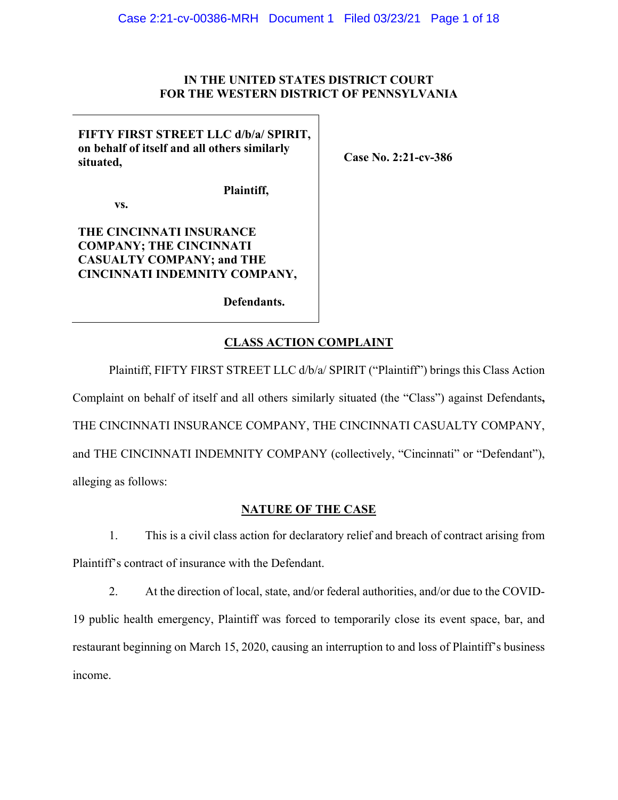### **IN THE UNITED STATES DISTRICT COURT FOR THE WESTERN DISTRICT OF PENNSYLVANIA**

**FIFTY FIRST STREET LLC d/b/a/ SPIRIT, on behalf of itself and all others similarly situated,** 

**Case No. 2:21-cv-386** 

 **vs.** 

# **THE CINCINNATI INSURANCE COMPANY; THE CINCINNATI CASUALTY COMPANY; and THE CINCINNATI INDEMNITY COMPANY,**

**Defendants.** 

**Plaintiff,** 

# **CLASS ACTION COMPLAINT**

Plaintiff, FIFTY FIRST STREET LLC d/b/a/ SPIRIT ("Plaintiff") brings this Class Action Complaint on behalf of itself and all others similarly situated (the "Class") against Defendants**,**  THE CINCINNATI INSURANCE COMPANY, THE CINCINNATI CASUALTY COMPANY, and THE CINCINNATI INDEMNITY COMPANY (collectively, "Cincinnati" or "Defendant"), alleging as follows:

## **NATURE OF THE CASE**

1. This is a civil class action for declaratory relief and breach of contract arising from Plaintiff's contract of insurance with the Defendant.

2. At the direction of local, state, and/or federal authorities, and/or due to the COVID-19 public health emergency, Plaintiff was forced to temporarily close its event space, bar, and restaurant beginning on March 15, 2020, causing an interruption to and loss of Plaintiff's business income.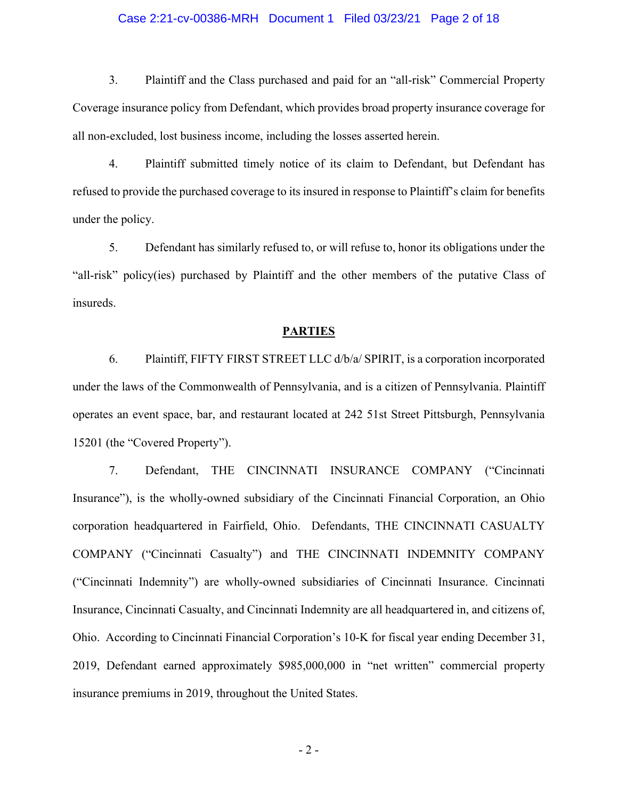#### Case 2:21-cv-00386-MRH Document 1 Filed 03/23/21 Page 2 of 18

3. Plaintiff and the Class purchased and paid for an "all-risk" Commercial Property Coverage insurance policy from Defendant, which provides broad property insurance coverage for all non-excluded, lost business income, including the losses asserted herein.

4. Plaintiff submitted timely notice of its claim to Defendant, but Defendant has refused to provide the purchased coverage to its insured in response to Plaintiff's claim for benefits under the policy.

5. Defendant has similarly refused to, or will refuse to, honor its obligations under the "all-risk" policy(ies) purchased by Plaintiff and the other members of the putative Class of insureds.

#### **PARTIES**

6. Plaintiff, FIFTY FIRST STREET LLC d/b/a/ SPIRIT, is a corporation incorporated under the laws of the Commonwealth of Pennsylvania, and is a citizen of Pennsylvania. Plaintiff operates an event space, bar, and restaurant located at 242 51st Street Pittsburgh, Pennsylvania 15201 (the "Covered Property").

7. Defendant, THE CINCINNATI INSURANCE COMPANY ("Cincinnati Insurance"), is the wholly-owned subsidiary of the Cincinnati Financial Corporation, an Ohio corporation headquartered in Fairfield, Ohio. Defendants, THE CINCINNATI CASUALTY COMPANY ("Cincinnati Casualty") and THE CINCINNATI INDEMNITY COMPANY ("Cincinnati Indemnity") are wholly-owned subsidiaries of Cincinnati Insurance. Cincinnati Insurance, Cincinnati Casualty, and Cincinnati Indemnity are all headquartered in, and citizens of, Ohio. According to Cincinnati Financial Corporation's 10-K for fiscal year ending December 31, 2019, Defendant earned approximately \$985,000,000 in "net written" commercial property insurance premiums in 2019, throughout the United States.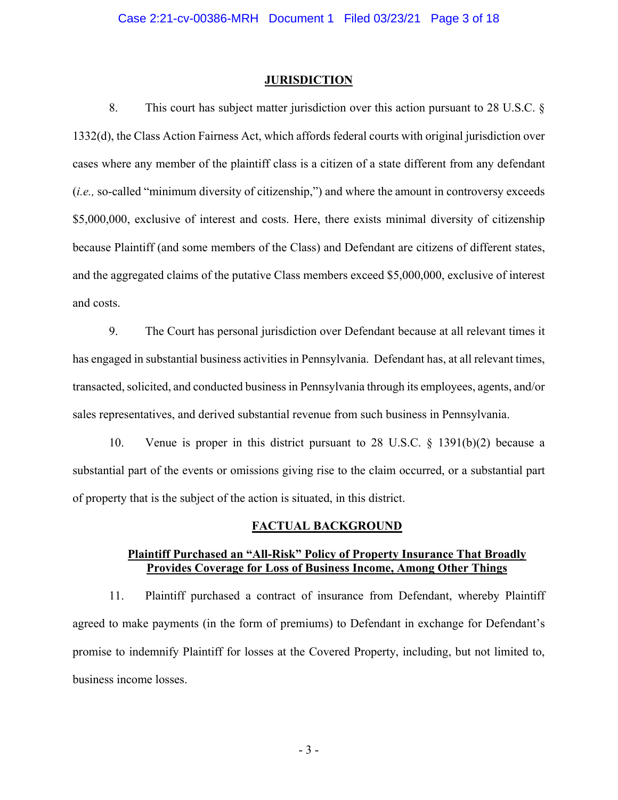#### **JURISDICTION**

8. This court has subject matter jurisdiction over this action pursuant to 28 U.S.C. § 1332(d), the Class Action Fairness Act, which affords federal courts with original jurisdiction over cases where any member of the plaintiff class is a citizen of a state different from any defendant (*i.e.,* so-called "minimum diversity of citizenship,") and where the amount in controversy exceeds \$5,000,000, exclusive of interest and costs. Here, there exists minimal diversity of citizenship because Plaintiff (and some members of the Class) and Defendant are citizens of different states, and the aggregated claims of the putative Class members exceed \$5,000,000, exclusive of interest and costs.

9. The Court has personal jurisdiction over Defendant because at all relevant times it has engaged in substantial business activities in Pennsylvania. Defendant has, at all relevant times, transacted, solicited, and conducted business in Pennsylvania through its employees, agents, and/or sales representatives, and derived substantial revenue from such business in Pennsylvania.

10. Venue is proper in this district pursuant to 28 U.S.C. § 1391(b)(2) because a substantial part of the events or omissions giving rise to the claim occurred, or a substantial part of property that is the subject of the action is situated, in this district.

#### **FACTUAL BACKGROUND**

## **Plaintiff Purchased an "All-Risk" Policy of Property Insurance That Broadly Provides Coverage for Loss of Business Income, Among Other Things**

11. Plaintiff purchased a contract of insurance from Defendant, whereby Plaintiff agreed to make payments (in the form of premiums) to Defendant in exchange for Defendant's promise to indemnify Plaintiff for losses at the Covered Property, including, but not limited to, business income losses.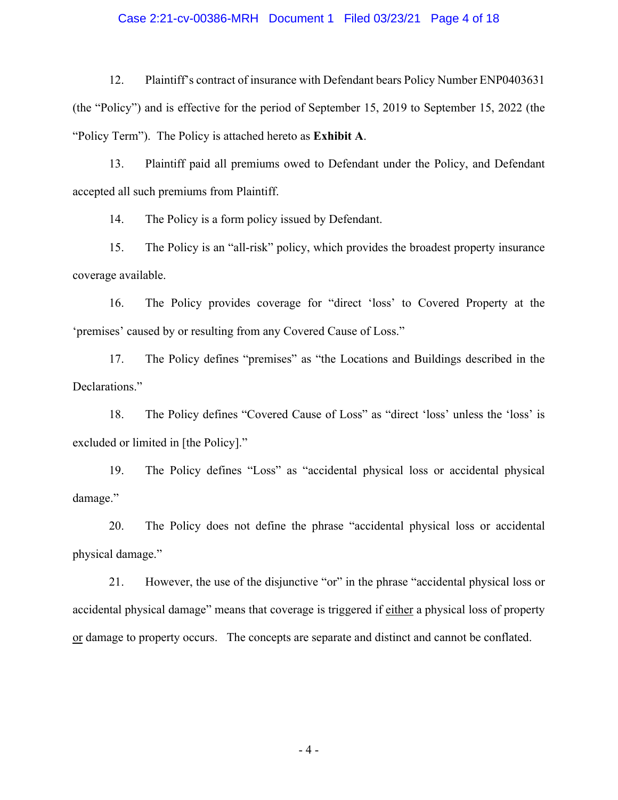#### Case 2:21-cv-00386-MRH Document 1 Filed 03/23/21 Page 4 of 18

12. Plaintiff's contract of insurance with Defendant bears Policy Number ENP0403631 (the "Policy") and is effective for the period of September 15, 2019 to September 15, 2022 (the "Policy Term"). The Policy is attached hereto as **Exhibit A**.

13. Plaintiff paid all premiums owed to Defendant under the Policy, and Defendant accepted all such premiums from Plaintiff.

14. The Policy is a form policy issued by Defendant.

15. The Policy is an "all-risk" policy, which provides the broadest property insurance coverage available.

16. The Policy provides coverage for "direct 'loss' to Covered Property at the 'premises' caused by or resulting from any Covered Cause of Loss."

17. The Policy defines "premises" as "the Locations and Buildings described in the Declarations."

18. The Policy defines "Covered Cause of Loss" as "direct 'loss' unless the 'loss' is excluded or limited in [the Policy]."

19. The Policy defines "Loss" as "accidental physical loss or accidental physical damage."

20. The Policy does not define the phrase "accidental physical loss or accidental physical damage."

21. However, the use of the disjunctive "or" in the phrase "accidental physical loss or accidental physical damage" means that coverage is triggered if either a physical loss of property or damage to property occurs. The concepts are separate and distinct and cannot be conflated.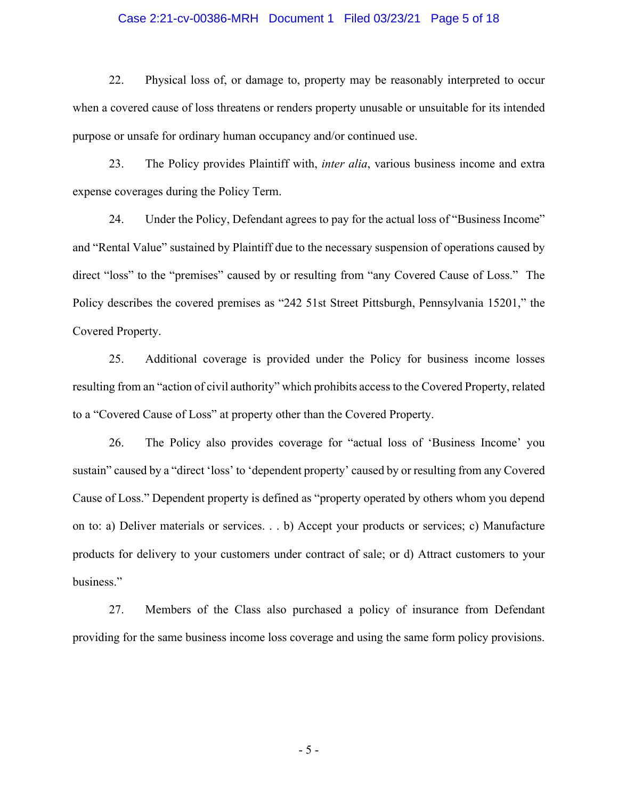#### Case 2:21-cv-00386-MRH Document 1 Filed 03/23/21 Page 5 of 18

22. Physical loss of, or damage to, property may be reasonably interpreted to occur when a covered cause of loss threatens or renders property unusable or unsuitable for its intended purpose or unsafe for ordinary human occupancy and/or continued use.

23. The Policy provides Plaintiff with, *inter alia*, various business income and extra expense coverages during the Policy Term.

24. Under the Policy, Defendant agrees to pay for the actual loss of "Business Income" and "Rental Value" sustained by Plaintiff due to the necessary suspension of operations caused by direct "loss" to the "premises" caused by or resulting from "any Covered Cause of Loss." The Policy describes the covered premises as "242 51st Street Pittsburgh, Pennsylvania 15201," the Covered Property.

25. Additional coverage is provided under the Policy for business income losses resulting from an "action of civil authority" which prohibits access to the Covered Property, related to a "Covered Cause of Loss" at property other than the Covered Property.

26. The Policy also provides coverage for "actual loss of 'Business Income' you sustain" caused by a "direct 'loss' to 'dependent property' caused by or resulting from any Covered Cause of Loss." Dependent property is defined as "property operated by others whom you depend on to: a) Deliver materials or services. . . b) Accept your products or services; c) Manufacture products for delivery to your customers under contract of sale; or d) Attract customers to your business."

27. Members of the Class also purchased a policy of insurance from Defendant providing for the same business income loss coverage and using the same form policy provisions.

- 5 -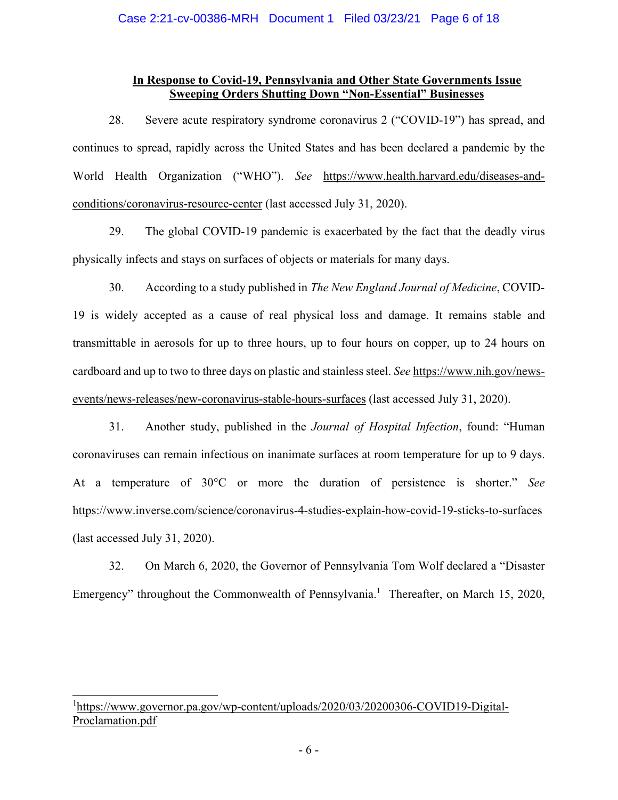## **In Response to Covid-19, Pennsylvania and Other State Governments Issue Sweeping Orders Shutting Down "Non-Essential" Businesses**

28. Severe acute respiratory syndrome coronavirus 2 ("COVID-19") has spread, and continues to spread, rapidly across the United States and has been declared a pandemic by the World Health Organization ("WHO"). *See* https://www.health.harvard.edu/diseases-andconditions/coronavirus-resource-center (last accessed July 31, 2020).

29. The global COVID-19 pandemic is exacerbated by the fact that the deadly virus physically infects and stays on surfaces of objects or materials for many days.

30. According to a study published in *The New England Journal of Medicine*, COVID-19 is widely accepted as a cause of real physical loss and damage. It remains stable and transmittable in aerosols for up to three hours, up to four hours on copper, up to 24 hours on cardboard and up to two to three days on plastic and stainless steel. *See* https://www.nih.gov/newsevents/news-releases/new-coronavirus-stable-hours-surfaces (last accessed July 31, 2020).

31. Another study, published in the *Journal of Hospital Infection*, found: "Human coronaviruses can remain infectious on inanimate surfaces at room temperature for up to 9 days. At a temperature of 30°C or more the duration of persistence is shorter." *See*  https://www.inverse.com/science/coronavirus-4-studies-explain-how-covid-19-sticks-to-surfaces (last accessed July 31, 2020).

32. On March 6, 2020, the Governor of Pennsylvania Tom Wolf declared a "Disaster Emergency" throughout the Commonwealth of Pennsylvania.<sup>1</sup> Thereafter, on March 15, 2020,

<sup>1</sup>https://www.governor.pa.gov/wp-content/uploads/2020/03/20200306-COVID19-Digital-Proclamation.pdf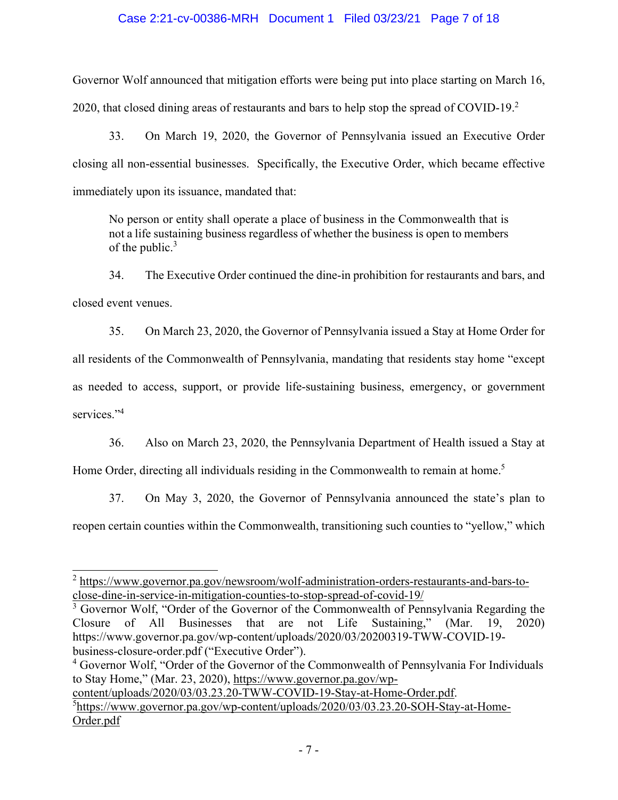## Case 2:21-cv-00386-MRH Document 1 Filed 03/23/21 Page 7 of 18

Governor Wolf announced that mitigation efforts were being put into place starting on March 16, 2020, that closed dining areas of restaurants and bars to help stop the spread of COVID-19.<sup>2</sup>

33. On March 19, 2020, the Governor of Pennsylvania issued an Executive Order closing all non-essential businesses. Specifically, the Executive Order, which became effective immediately upon its issuance, mandated that:

No person or entity shall operate a place of business in the Commonwealth that is not a life sustaining business regardless of whether the business is open to members of the public. $3$ 

34. The Executive Order continued the dine-in prohibition for restaurants and bars, and closed event venues.

35. On March 23, 2020, the Governor of Pennsylvania issued a Stay at Home Order for all residents of the Commonwealth of Pennsylvania, mandating that residents stay home "except as needed to access, support, or provide life-sustaining business, emergency, or government services."<sup>4</sup>

36. Also on March 23, 2020, the Pennsylvania Department of Health issued a Stay at Home Order, directing all individuals residing in the Commonwealth to remain at home.<sup>5</sup>

37. On May 3, 2020, the Governor of Pennsylvania announced the state's plan to reopen certain counties within the Commonwealth, transitioning such counties to "yellow," which

<sup>4</sup> Governor Wolf, "Order of the Governor of the Commonwealth of Pennsylvania For Individuals to Stay Home," (Mar. 23, 2020), https://www.governor.pa.gov/wp-

<sup>&</sup>lt;sup>2</sup> https://www.governor.pa.gov/newsroom/wolf-administration-orders-restaurants-and-bars-toclose-dine-in-service-in-mitigation-counties-to-stop-spread-of-covid-19/

<sup>&</sup>lt;sup>3</sup> Governor Wolf, "Order of the Governor of the Commonwealth of Pennsylvania Regarding the Closure of All Businesses that are not Life Sustaining," (Mar. 19, 2020) https://www.governor.pa.gov/wp-content/uploads/2020/03/20200319-TWW-COVID-19 business-closure-order.pdf ("Executive Order").

content/uploads/2020/03/03.23.20-TWW-COVID-19-Stay-at-Home-Order.pdf. <sup>5</sup>https://www.governor.pa.gov/wp-content/uploads/2020/03/03.23.20-SOH-Stay-at-Home-Order.pdf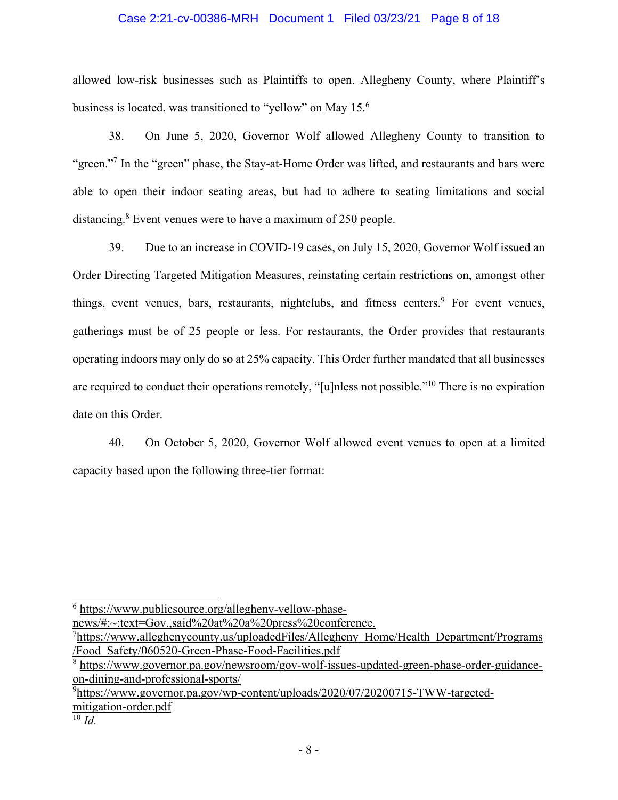### Case 2:21-cv-00386-MRH Document 1 Filed 03/23/21 Page 8 of 18

allowed low-risk businesses such as Plaintiffs to open. Allegheny County, where Plaintiff's business is located, was transitioned to "yellow" on May 15.<sup>6</sup>

38. On June 5, 2020, Governor Wolf allowed Allegheny County to transition to "green."<sup>7</sup> In the "green" phase, the Stay-at-Home Order was lifted, and restaurants and bars were able to open their indoor seating areas, but had to adhere to seating limitations and social distancing.<sup>8</sup> Event venues were to have a maximum of 250 people.

39. Due to an increase in COVID-19 cases, on July 15, 2020, Governor Wolf issued an Order Directing Targeted Mitigation Measures, reinstating certain restrictions on, amongst other things, event venues, bars, restaurants, nightclubs, and fitness centers.<sup>9</sup> For event venues, gatherings must be of 25 people or less. For restaurants, the Order provides that restaurants operating indoors may only do so at 25% capacity. This Order further mandated that all businesses are required to conduct their operations remotely, "[u]nless not possible."10 There is no expiration date on this Order.

40. On October 5, 2020, Governor Wolf allowed event venues to open at a limited capacity based upon the following three-tier format:

news/#:~:text=Gov.,said%20at%20a%20press%20conference.

<sup>&</sup>lt;sup>6</sup> https://www.publicsource.org/allegheny-yellow-phase-

<sup>&</sup>lt;sup>7</sup>https://www.alleghenycounty.us/uploadedFiles/Allegheny\_Home/Health\_Department/Programs /Food\_Safety/060520-Green-Phase-Food-Facilities.pdf

<sup>&</sup>lt;sup>8</sup> https://www.governor.pa.gov/newsroom/gov-wolf-issues-updated-green-phase-order-guidanceon-dining-and-professional-sports/

<sup>&</sup>lt;sup>9</sup>https://www.governor.pa.gov/wp-content/uploads/2020/07/20200715-TWW-targetedmitigation-order.pdf

 $\overline{^{10}}$  *Id.*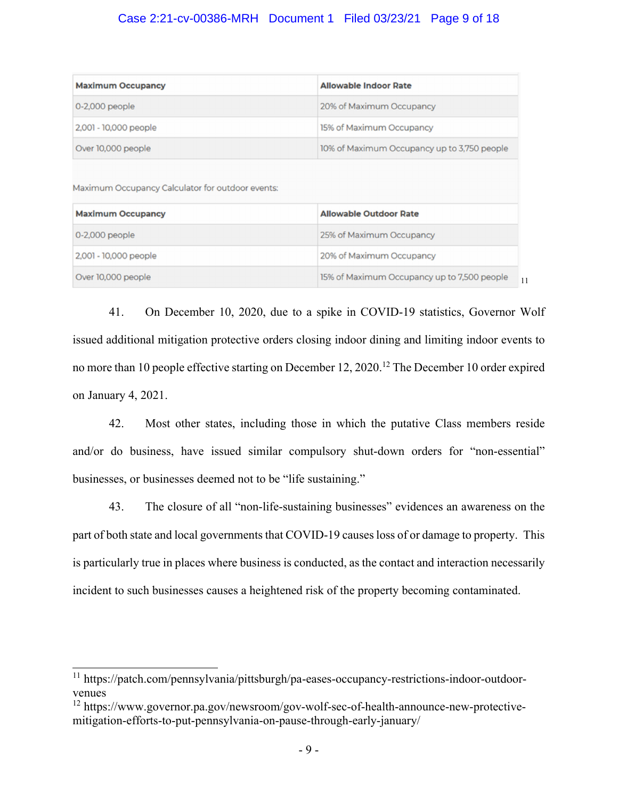# Case 2:21-cv-00386-MRH Document 1 Filed 03/23/21 Page 9 of 18

| <b>Maximum Occupancy</b>                                                     | <b>Allowable Indoor Rate</b>                |
|------------------------------------------------------------------------------|---------------------------------------------|
| 0-2,000 people                                                               | 20% of Maximum Occupancy                    |
| 2,001 - 10,000 people                                                        | 15% of Maximum Occupancy                    |
| Over 10,000 people                                                           | 10% of Maximum Occupancy up to 3,750 people |
|                                                                              |                                             |
| Maximum Occupancy Calculator for outdoor events:<br><b>Maximum Occupancy</b> | <b>Allowable Outdoor Rate</b>               |
| 0-2,000 people                                                               | 25% of Maximum Occupancy                    |
| 2,001 - 10,000 people                                                        | 20% of Maximum Occupancy                    |

41. On December 10, 2020, due to a spike in COVID-19 statistics, Governor Wolf issued additional mitigation protective orders closing indoor dining and limiting indoor events to no more than 10 people effective starting on December 12, 2020.<sup>12</sup> The December 10 order expired on January 4, 2021.

42. Most other states, including those in which the putative Class members reside and/or do business, have issued similar compulsory shut-down orders for "non-essential" businesses, or businesses deemed not to be "life sustaining."

43. The closure of all "non-life-sustaining businesses" evidences an awareness on the part of both state and local governments that COVID-19 causes loss of or damage to property. This is particularly true in places where business is conducted, as the contact and interaction necessarily incident to such businesses causes a heightened risk of the property becoming contaminated.

<sup>11</sup> https://patch.com/pennsylvania/pittsburgh/pa-eases-occupancy-restrictions-indoor-outdoorvenues

<sup>12</sup> https://www.governor.pa.gov/newsroom/gov-wolf-sec-of-health-announce-new-protectivemitigation-efforts-to-put-pennsylvania-on-pause-through-early-january/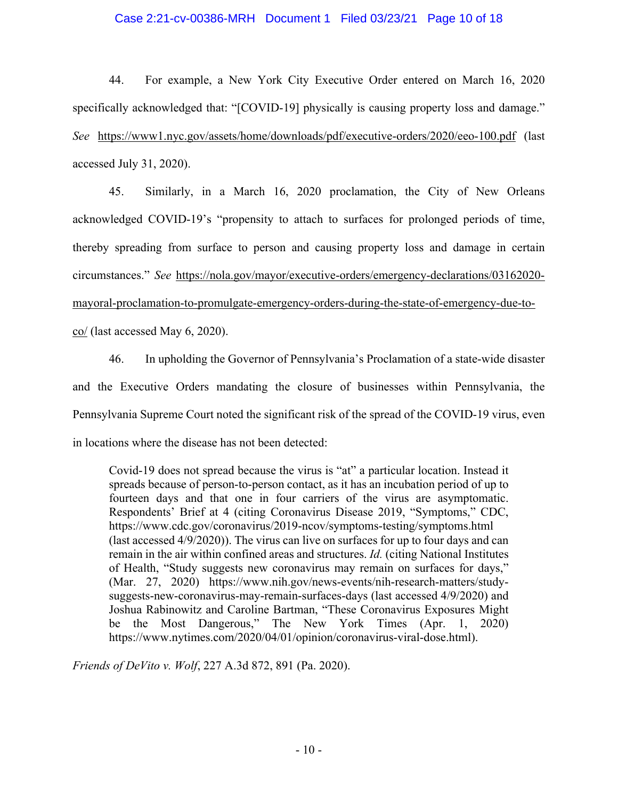### Case 2:21-cv-00386-MRH Document 1 Filed 03/23/21 Page 10 of 18

44. For example, a New York City Executive Order entered on March 16, 2020 specifically acknowledged that: "[COVID-19] physically is causing property loss and damage." *See* https://www1.nyc.gov/assets/home/downloads/pdf/executive-orders/2020/eeo-100.pdf (last accessed July 31, 2020).

45. Similarly, in a March 16, 2020 proclamation, the City of New Orleans acknowledged COVID-19's "propensity to attach to surfaces for prolonged periods of time, thereby spreading from surface to person and causing property loss and damage in certain circumstances." *See* https://nola.gov/mayor/executive-orders/emergency-declarations/03162020 mayoral-proclamation-to-promulgate-emergency-orders-during-the-state-of-emergency-due-toco/ (last accessed May 6, 2020).

46. In upholding the Governor of Pennsylvania's Proclamation of a state-wide disaster and the Executive Orders mandating the closure of businesses within Pennsylvania, the Pennsylvania Supreme Court noted the significant risk of the spread of the COVID-19 virus, even in locations where the disease has not been detected:

Covid-19 does not spread because the virus is "at" a particular location. Instead it spreads because of person-to-person contact, as it has an incubation period of up to fourteen days and that one in four carriers of the virus are asymptomatic. Respondents' Brief at 4 (citing Coronavirus Disease 2019, "Symptoms," CDC, https://www.cdc.gov/coronavirus/2019-ncov/symptoms-testing/symptoms.html (last accessed 4/9/2020)). The virus can live on surfaces for up to four days and can remain in the air within confined areas and structures. *Id.* (citing National Institutes of Health, "Study suggests new coronavirus may remain on surfaces for days," (Mar. 27, 2020) https://www.nih.gov/news-events/nih-research-matters/studysuggests-new-coronavirus-may-remain-surfaces-days (last accessed 4/9/2020) and Joshua Rabinowitz and Caroline Bartman, "These Coronavirus Exposures Might be the Most Dangerous," The New York Times (Apr. 1, 2020) https://www.nytimes.com/2020/04/01/opinion/coronavirus-viral-dose.html).

*Friends of DeVito v. Wolf*, 227 A.3d 872, 891 (Pa. 2020).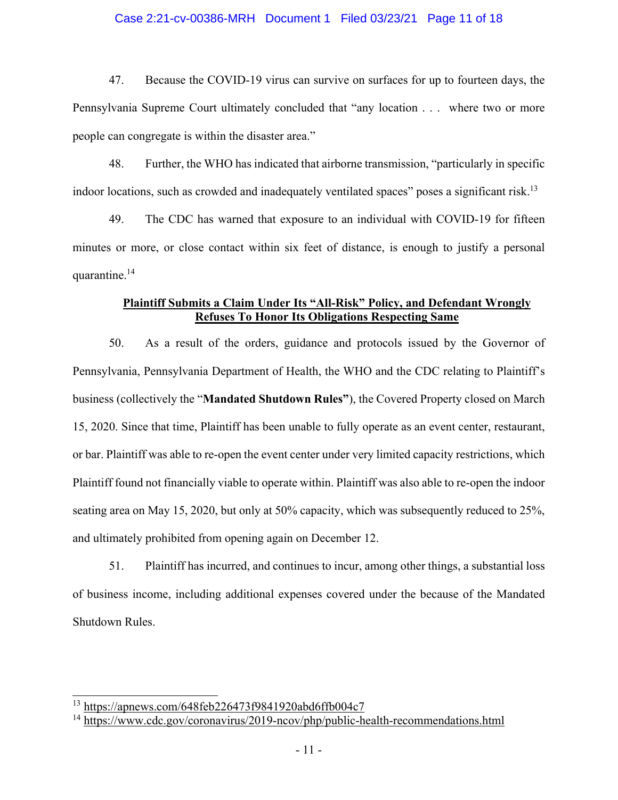#### Case 2:21-cv-00386-MRH Document 1 Filed 03/23/21 Page 11 of 18

47. Because the COVID-19 virus can survive on surfaces for up to fourteen days, the Pennsylvania Supreme Court ultimately concluded that "any location . . . where two or more people can congregate is within the disaster area."

48. Further, the WHO has indicated that airborne transmission, "particularly in specific indoor locations, such as crowded and inadequately ventilated spaces" poses a significant risk.<sup>13</sup>

49. The CDC has warned that exposure to an individual with COVID-19 for fifteen minutes or more, or close contact within six feet of distance, is enough to justify a personal quarantine.14

# **Plaintiff Submits a Claim Under Its "All-Risk" Policy, and Defendant Wrongly Refuses To Honor Its Obligations Respecting Same**

50. As a result of the orders, guidance and protocols issued by the Governor of Pennsylvania, Pennsylvania Department of Health, the WHO and the CDC relating to Plaintiff's business (collectively the "**Mandated Shutdown Rules"**), the Covered Property closed on March 15, 2020. Since that time, Plaintiff has been unable to fully operate as an event center, restaurant, or bar. Plaintiff was able to re-open the event center under very limited capacity restrictions, which Plaintiff found not financially viable to operate within. Plaintiff was also able to re-open the indoor seating area on May 15, 2020, but only at 50% capacity, which was subsequently reduced to 25%, and ultimately prohibited from opening again on December 12.

51. Plaintiff has incurred, and continues to incur, among other things, a substantial loss of business income, including additional expenses covered under the because of the Mandated Shutdown Rules.

<sup>13</sup> https://apnews.com/648feb226473f9841920abd6ffb004c7

<sup>14</sup> https://www.cdc.gov/coronavirus/2019-ncov/php/public-health-recommendations.html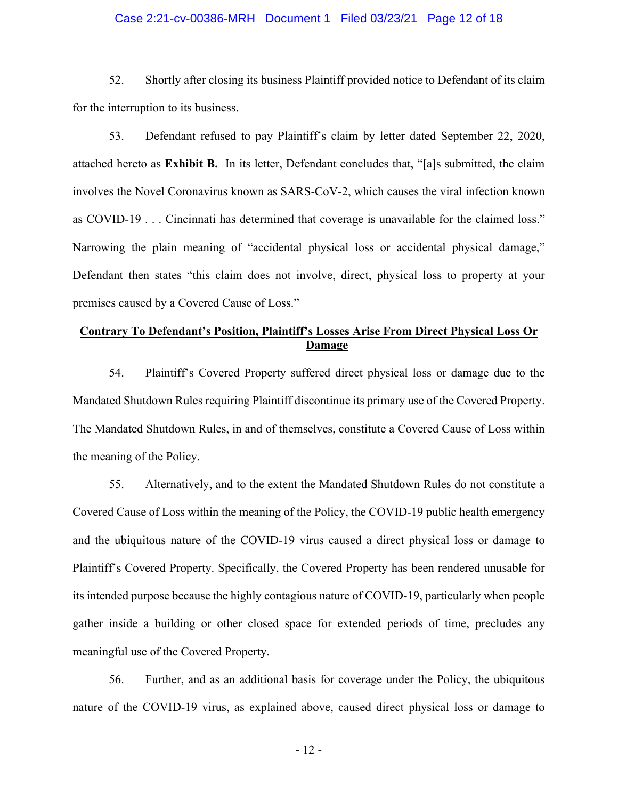#### Case 2:21-cv-00386-MRH Document 1 Filed 03/23/21 Page 12 of 18

52. Shortly after closing its business Plaintiff provided notice to Defendant of its claim for the interruption to its business.

53. Defendant refused to pay Plaintiff's claim by letter dated September 22, 2020, attached hereto as **Exhibit B.** In its letter, Defendant concludes that, "[a]s submitted, the claim involves the Novel Coronavirus known as SARS-CoV-2, which causes the viral infection known as COVID-19 . . . Cincinnati has determined that coverage is unavailable for the claimed loss." Narrowing the plain meaning of "accidental physical loss or accidental physical damage," Defendant then states "this claim does not involve, direct, physical loss to property at your premises caused by a Covered Cause of Loss."

# **Contrary To Defendant's Position, Plaintiff's Losses Arise From Direct Physical Loss Or Damage**

54. Plaintiff's Covered Property suffered direct physical loss or damage due to the Mandated Shutdown Rules requiring Plaintiff discontinue its primary use of the Covered Property. The Mandated Shutdown Rules, in and of themselves, constitute a Covered Cause of Loss within the meaning of the Policy.

55. Alternatively, and to the extent the Mandated Shutdown Rules do not constitute a Covered Cause of Loss within the meaning of the Policy, the COVID-19 public health emergency and the ubiquitous nature of the COVID-19 virus caused a direct physical loss or damage to Plaintiff's Covered Property. Specifically, the Covered Property has been rendered unusable for its intended purpose because the highly contagious nature of COVID-19, particularly when people gather inside a building or other closed space for extended periods of time, precludes any meaningful use of the Covered Property.

56. Further, and as an additional basis for coverage under the Policy, the ubiquitous nature of the COVID-19 virus, as explained above, caused direct physical loss or damage to

- 12 -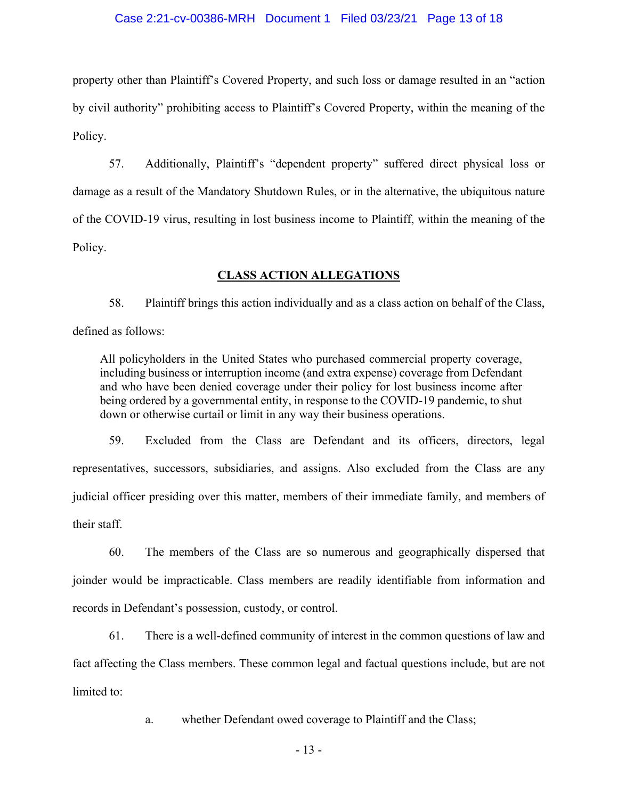#### Case 2:21-cv-00386-MRH Document 1 Filed 03/23/21 Page 13 of 18

property other than Plaintiff's Covered Property, and such loss or damage resulted in an "action by civil authority" prohibiting access to Plaintiff's Covered Property, within the meaning of the Policy.

57. Additionally, Plaintiff's "dependent property" suffered direct physical loss or damage as a result of the Mandatory Shutdown Rules, or in the alternative, the ubiquitous nature of the COVID-19 virus, resulting in lost business income to Plaintiff, within the meaning of the Policy.

### **CLASS ACTION ALLEGATIONS**

58. Plaintiff brings this action individually and as a class action on behalf of the Class, defined as follows:

All policyholders in the United States who purchased commercial property coverage, including business or interruption income (and extra expense) coverage from Defendant and who have been denied coverage under their policy for lost business income after being ordered by a governmental entity, in response to the COVID-19 pandemic, to shut down or otherwise curtail or limit in any way their business operations.

59. Excluded from the Class are Defendant and its officers, directors, legal representatives, successors, subsidiaries, and assigns. Also excluded from the Class are any judicial officer presiding over this matter, members of their immediate family, and members of their staff.

60. The members of the Class are so numerous and geographically dispersed that joinder would be impracticable. Class members are readily identifiable from information and records in Defendant's possession, custody, or control.

61. There is a well-defined community of interest in the common questions of law and fact affecting the Class members. These common legal and factual questions include, but are not limited to:

a. whether Defendant owed coverage to Plaintiff and the Class;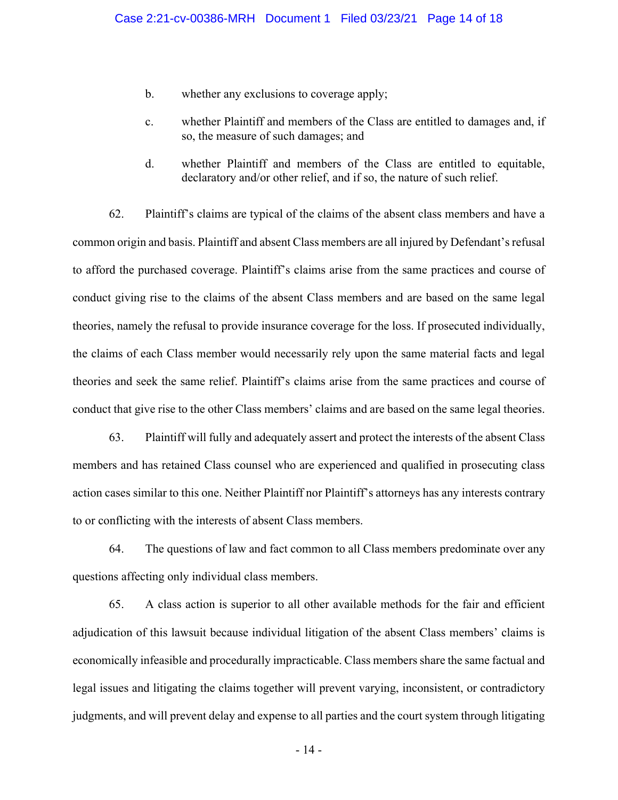- b. whether any exclusions to coverage apply;
- c. whether Plaintiff and members of the Class are entitled to damages and, if so, the measure of such damages; and
- d. whether Plaintiff and members of the Class are entitled to equitable, declaratory and/or other relief, and if so, the nature of such relief.

62. Plaintiff's claims are typical of the claims of the absent class members and have a common origin and basis. Plaintiff and absent Class members are all injured by Defendant's refusal to afford the purchased coverage. Plaintiff's claims arise from the same practices and course of conduct giving rise to the claims of the absent Class members and are based on the same legal theories, namely the refusal to provide insurance coverage for the loss. If prosecuted individually, the claims of each Class member would necessarily rely upon the same material facts and legal theories and seek the same relief. Plaintiff's claims arise from the same practices and course of conduct that give rise to the other Class members' claims and are based on the same legal theories.

63. Plaintiff will fully and adequately assert and protect the interests of the absent Class members and has retained Class counsel who are experienced and qualified in prosecuting class action cases similar to this one. Neither Plaintiff nor Plaintiff's attorneys has any interests contrary to or conflicting with the interests of absent Class members.

64. The questions of law and fact common to all Class members predominate over any questions affecting only individual class members.

65. A class action is superior to all other available methods for the fair and efficient adjudication of this lawsuit because individual litigation of the absent Class members' claims is economically infeasible and procedurally impracticable. Class members share the same factual and legal issues and litigating the claims together will prevent varying, inconsistent, or contradictory judgments, and will prevent delay and expense to all parties and the court system through litigating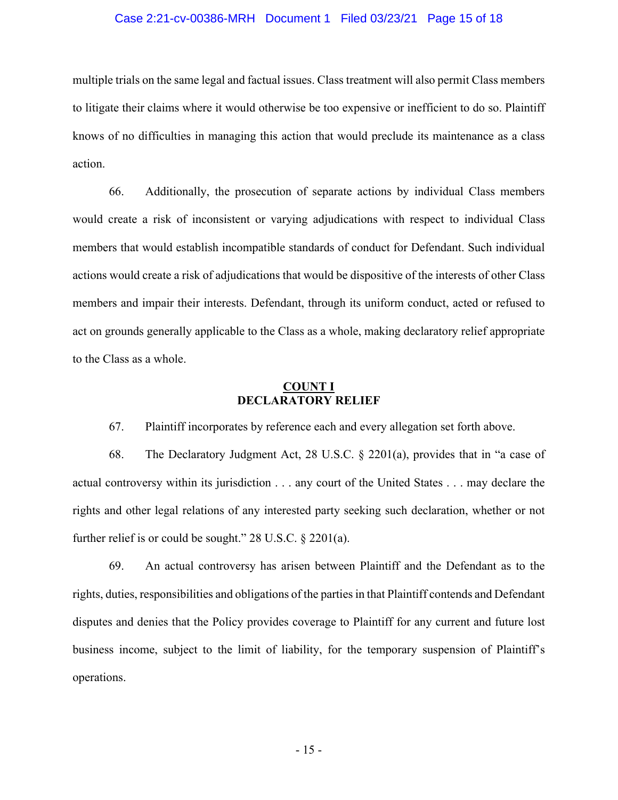#### Case 2:21-cv-00386-MRH Document 1 Filed 03/23/21 Page 15 of 18

multiple trials on the same legal and factual issues. Class treatment will also permit Class members to litigate their claims where it would otherwise be too expensive or inefficient to do so. Plaintiff knows of no difficulties in managing this action that would preclude its maintenance as a class action.

66. Additionally, the prosecution of separate actions by individual Class members would create a risk of inconsistent or varying adjudications with respect to individual Class members that would establish incompatible standards of conduct for Defendant. Such individual actions would create a risk of adjudications that would be dispositive of the interests of other Class members and impair their interests. Defendant, through its uniform conduct, acted or refused to act on grounds generally applicable to the Class as a whole, making declaratory relief appropriate to the Class as a whole.

### **COUNT I DECLARATORY RELIEF**

67. Plaintiff incorporates by reference each and every allegation set forth above.

68. The Declaratory Judgment Act, 28 U.S.C. § 2201(a), provides that in "a case of actual controversy within its jurisdiction . . . any court of the United States . . . may declare the rights and other legal relations of any interested party seeking such declaration, whether or not further relief is or could be sought." 28 U.S.C. § 2201(a).

69. An actual controversy has arisen between Plaintiff and the Defendant as to the rights, duties, responsibilities and obligations of the parties in that Plaintiff contends and Defendant disputes and denies that the Policy provides coverage to Plaintiff for any current and future lost business income, subject to the limit of liability, for the temporary suspension of Plaintiff's operations.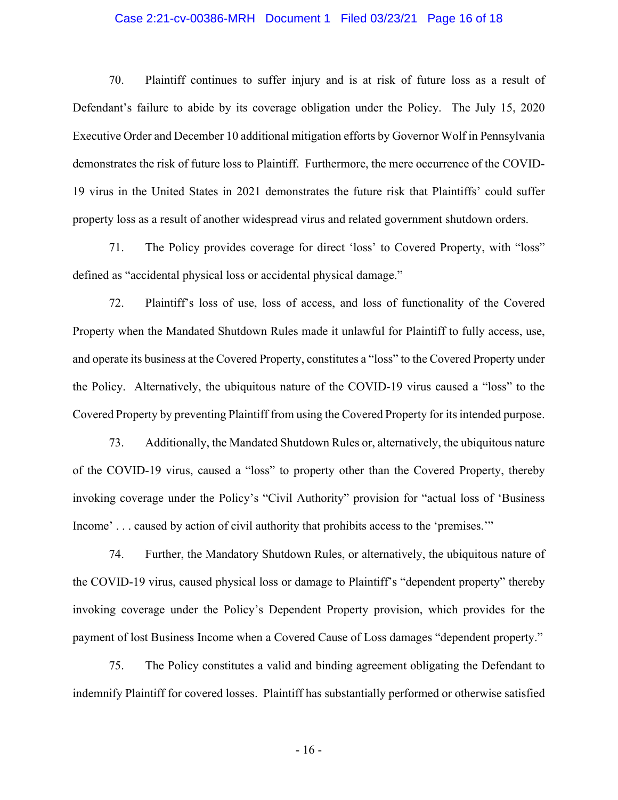#### Case 2:21-cv-00386-MRH Document 1 Filed 03/23/21 Page 16 of 18

70. Plaintiff continues to suffer injury and is at risk of future loss as a result of Defendant's failure to abide by its coverage obligation under the Policy. The July 15, 2020 Executive Order and December 10 additional mitigation efforts by Governor Wolf in Pennsylvania demonstrates the risk of future loss to Plaintiff. Furthermore, the mere occurrence of the COVID-19 virus in the United States in 2021 demonstrates the future risk that Plaintiffs' could suffer property loss as a result of another widespread virus and related government shutdown orders.

71. The Policy provides coverage for direct 'loss' to Covered Property, with "loss" defined as "accidental physical loss or accidental physical damage."

72. Plaintiff's loss of use, loss of access, and loss of functionality of the Covered Property when the Mandated Shutdown Rules made it unlawful for Plaintiff to fully access, use, and operate its business at the Covered Property, constitutes a "loss" to the Covered Property under the Policy. Alternatively, the ubiquitous nature of the COVID-19 virus caused a "loss" to the Covered Property by preventing Plaintiff from using the Covered Property for its intended purpose.

73. Additionally, the Mandated Shutdown Rules or, alternatively, the ubiquitous nature of the COVID-19 virus, caused a "loss" to property other than the Covered Property, thereby invoking coverage under the Policy's "Civil Authority" provision for "actual loss of 'Business Income' . . . caused by action of civil authority that prohibits access to the 'premises.'"

74. Further, the Mandatory Shutdown Rules, or alternatively, the ubiquitous nature of the COVID-19 virus, caused physical loss or damage to Plaintiff's "dependent property" thereby invoking coverage under the Policy's Dependent Property provision, which provides for the payment of lost Business Income when a Covered Cause of Loss damages "dependent property."

75. The Policy constitutes a valid and binding agreement obligating the Defendant to indemnify Plaintiff for covered losses. Plaintiff has substantially performed or otherwise satisfied

- 16 -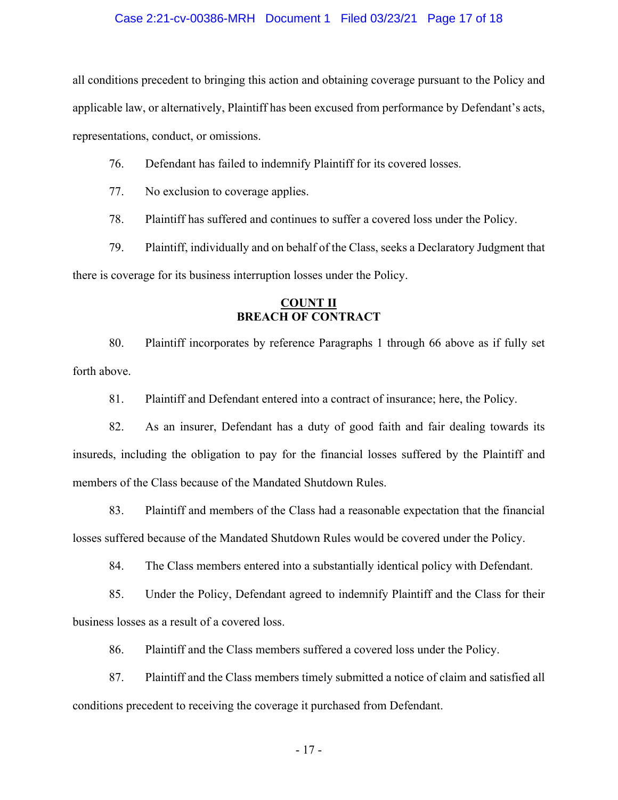#### Case 2:21-cv-00386-MRH Document 1 Filed 03/23/21 Page 17 of 18

all conditions precedent to bringing this action and obtaining coverage pursuant to the Policy and applicable law, or alternatively, Plaintiff has been excused from performance by Defendant's acts, representations, conduct, or omissions.

76. Defendant has failed to indemnify Plaintiff for its covered losses.

77. No exclusion to coverage applies.

78. Plaintiff has suffered and continues to suffer a covered loss under the Policy.

79. Plaintiff, individually and on behalf of the Class, seeks a Declaratory Judgment that there is coverage for its business interruption losses under the Policy.

### **COUNT II BREACH OF CONTRACT**

80. Plaintiff incorporates by reference Paragraphs 1 through 66 above as if fully set forth above.

81. Plaintiff and Defendant entered into a contract of insurance; here, the Policy.

82. As an insurer, Defendant has a duty of good faith and fair dealing towards its insureds, including the obligation to pay for the financial losses suffered by the Plaintiff and members of the Class because of the Mandated Shutdown Rules.

83. Plaintiff and members of the Class had a reasonable expectation that the financial losses suffered because of the Mandated Shutdown Rules would be covered under the Policy.

84. The Class members entered into a substantially identical policy with Defendant.

85. Under the Policy, Defendant agreed to indemnify Plaintiff and the Class for their business losses as a result of a covered loss.

86. Plaintiff and the Class members suffered a covered loss under the Policy.

87. Plaintiff and the Class members timely submitted a notice of claim and satisfied all conditions precedent to receiving the coverage it purchased from Defendant.

- 17 -